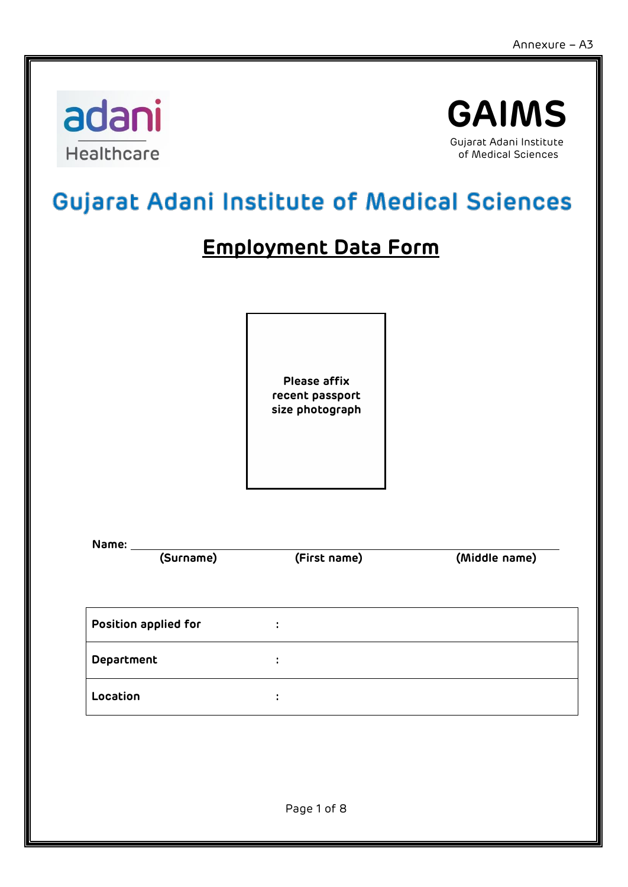

**Name:**



# Gujarat Adani Institute of Medical Sciences

## **Employment Data Form**

**Please affix recent passport size photograph**

| .                    |                           |               |
|----------------------|---------------------------|---------------|
| (Surname)            | (First name)              | (Middle name) |
| Position applied for | ٠<br>$\bullet$            |               |
| <b>Department</b>    | ÷                         |               |
| Location             | ٠<br>$\ddot{\phantom{a}}$ |               |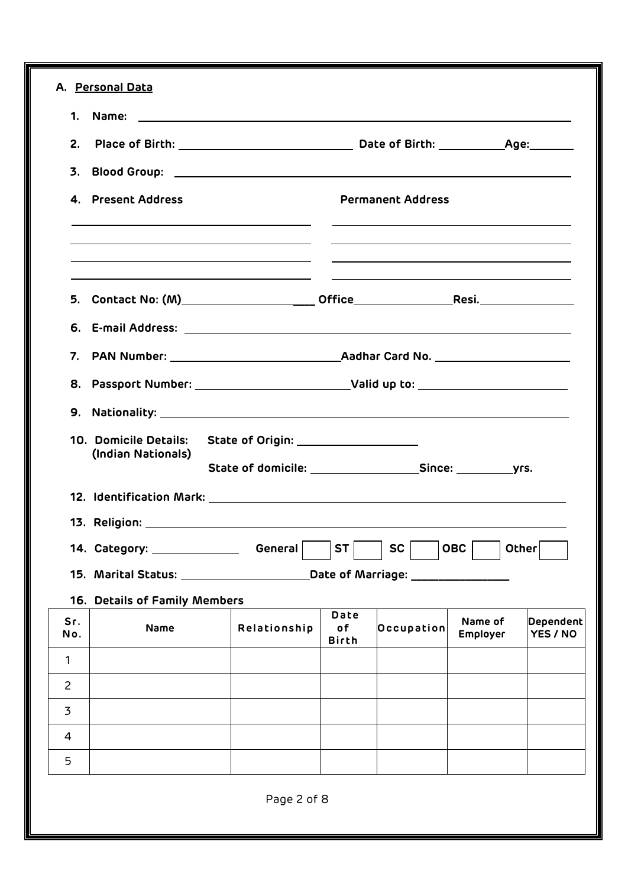|                | 1. Name:<br><u> 1980 - Johann Barnett, fransk politik (d. 1980)</u>              |                                       |                            |                                   |                            |                              |
|----------------|----------------------------------------------------------------------------------|---------------------------------------|----------------------------|-----------------------------------|----------------------------|------------------------------|
| 2.             |                                                                                  |                                       |                            |                                   |                            |                              |
| 3.             |                                                                                  |                                       |                            |                                   |                            |                              |
|                | 4. Present Address                                                               |                                       |                            | <b>Permanent Address</b>          |                            |                              |
|                | 5. Contact No: (M)__________________________Office______________________________ |                                       |                            |                                   |                            |                              |
|                |                                                                                  |                                       |                            |                                   |                            |                              |
| 7.             |                                                                                  |                                       |                            |                                   |                            |                              |
|                | 8. Passport Number: _________________________________Valid up to: ______________ |                                       |                            |                                   |                            |                              |
|                |                                                                                  |                                       |                            |                                   |                            |                              |
|                |                                                                                  |                                       |                            |                                   |                            |                              |
|                | 10. Domicile Details:<br>(Indian Nationals)                                      | State of Origin: ____________________ |                            |                                   |                            |                              |
|                |                                                                                  |                                       |                            |                                   |                            |                              |
|                |                                                                                  |                                       |                            |                                   |                            |                              |
|                | 14. Category: ________________                                                   | General                               | <b>ST</b>                  | <b>SC</b>                         | <b>OBC</b>                 | Other                        |
|                | 15. Marital Status: 19. Marital Status:                                          |                                       |                            | Date of Marriage: _______________ |                            |                              |
|                | 16. Details of Family Members                                                    |                                       |                            |                                   |                            |                              |
| Sr.<br>No.     | Name                                                                             | Relationship                          | Date<br>of<br><b>Birth</b> | Occupation                        | Name of<br><b>Employer</b> | <b>Dependent</b><br>YES / NO |
| $\mathbf{1}$   |                                                                                  |                                       |                            |                                   |                            |                              |
| $\overline{c}$ |                                                                                  |                                       |                            |                                   |                            |                              |
| 3              |                                                                                  |                                       |                            |                                   |                            |                              |
| 4              |                                                                                  |                                       |                            |                                   |                            |                              |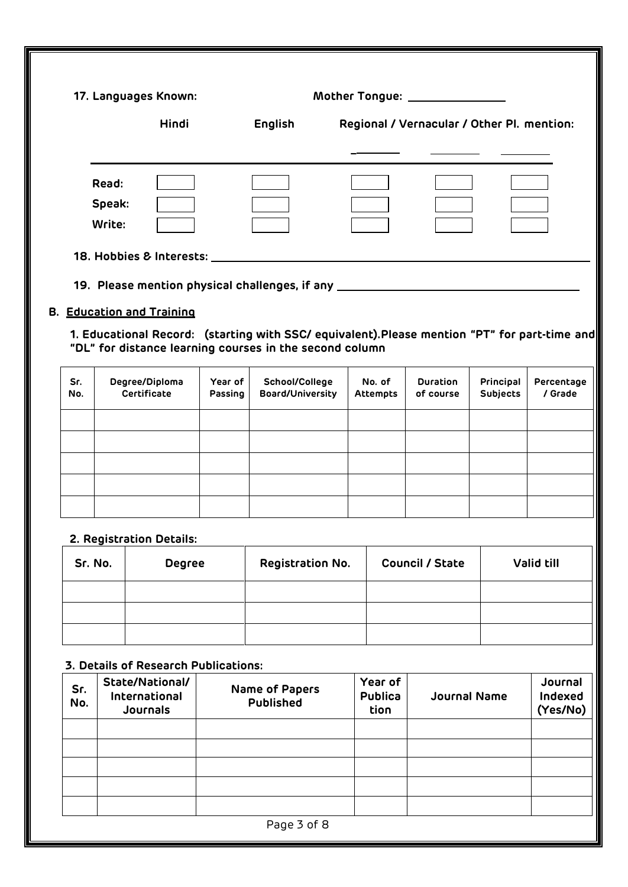|            | 17. Languages Known: |                                  |                    |                                                                                                                                                          |                           | Mother Tongue: _______________             |                              |                       |
|------------|----------------------|----------------------------------|--------------------|----------------------------------------------------------------------------------------------------------------------------------------------------------|---------------------------|--------------------------------------------|------------------------------|-----------------------|
|            | <b>Hindi</b>         |                                  |                    | English                                                                                                                                                  |                           | Regional / Vernacular / Other Pl. mention: |                              |                       |
|            |                      |                                  |                    |                                                                                                                                                          |                           |                                            |                              |                       |
|            | Read:                |                                  |                    |                                                                                                                                                          |                           |                                            |                              |                       |
|            | Speak:               |                                  |                    |                                                                                                                                                          |                           |                                            |                              |                       |
|            | Write:               |                                  |                    |                                                                                                                                                          |                           |                                            |                              |                       |
|            |                      |                                  |                    | 18. Hobbies & Interests: 18. March 2014                                                                                                                  |                           |                                            |                              |                       |
|            |                      |                                  |                    | 19. Please mention physical challenges, if any substantial and the measurement of the state of the state of the                                          |                           |                                            |                              |                       |
|            |                      | <b>B. Education and Training</b> |                    |                                                                                                                                                          |                           |                                            |                              |                       |
|            |                      |                                  |                    | 1. Educational Record: (starting with SSC/ equivalent). Please mention "PT" for part-time and<br>"DL" for distance learning courses in the second column |                           |                                            |                              |                       |
| Sr.<br>No. |                      | Degree/Diploma<br>Certificate    | Year of<br>Passing | School/College<br>Board/University                                                                                                                       | No. of<br><b>Attempts</b> | <b>Duration</b><br>of course               | Principal<br><b>Subjects</b> | Percentage<br>/ Grade |
|            |                      |                                  |                    |                                                                                                                                                          |                           |                                            |                              |                       |
|            |                      |                                  |                    |                                                                                                                                                          |                           |                                            |                              |                       |
|            |                      |                                  |                    |                                                                                                                                                          |                           |                                            |                              |                       |
|            |                      |                                  |                    |                                                                                                                                                          |                           |                                            |                              |                       |
|            |                      | 2. Registration Details:         |                    |                                                                                                                                                          |                           |                                            |                              |                       |
|            | Sr. No.              | <b>Degree</b>                    |                    | Registration No.                                                                                                                                         |                           | <b>Council / State</b>                     |                              | Valid till            |

| JI. IVU. | naal ee | Registration ivo. | <b>COUNCILY STATE</b> | <b>VAIIO CIII</b> |
|----------|---------|-------------------|-----------------------|-------------------|
|          |         |                   |                       |                   |
|          |         |                   |                       |                   |
|          |         |                   |                       |                   |

### **3. Details of Research Publications:**

| Sr.<br>No. | State/National/<br>International<br>Journals | Name of Papers<br>Published | Year of<br><b>Publica</b><br>tion | Journal Name | Journal<br>Indexed<br>(Yes/No) |  |  |  |  |
|------------|----------------------------------------------|-----------------------------|-----------------------------------|--------------|--------------------------------|--|--|--|--|
|            |                                              |                             |                                   |              |                                |  |  |  |  |
|            |                                              |                             |                                   |              |                                |  |  |  |  |
|            |                                              |                             |                                   |              |                                |  |  |  |  |
|            |                                              |                             |                                   |              |                                |  |  |  |  |
|            |                                              |                             |                                   |              |                                |  |  |  |  |
|            | Page 3 of 8                                  |                             |                                   |              |                                |  |  |  |  |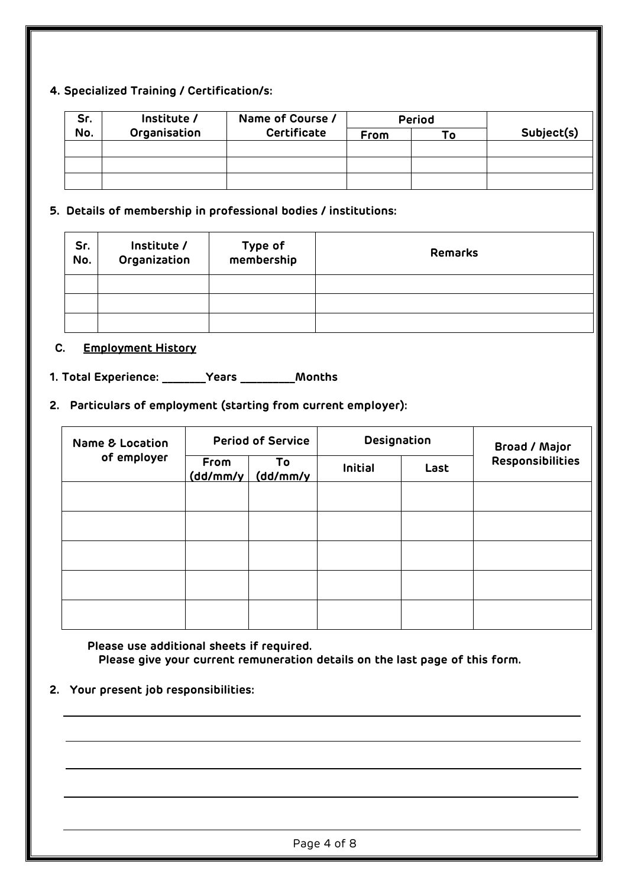#### **4. Specialized Training / Certification/s:**

| Sr. | Institute /  | Name of Course /   |      | Period |            |
|-----|--------------|--------------------|------|--------|------------|
| No. | Organisation | <b>Certificate</b> | From | Г٥     | Subject(s) |
|     |              |                    |      |        |            |
|     |              |                    |      |        |            |
|     |              |                    |      |        |            |

#### **5. Details of membership in professional bodies / institutions:**

| Sr.<br>No. | Institute /<br>Organization | Type of<br>membership | <b>Remarks</b> |
|------------|-----------------------------|-----------------------|----------------|
|            |                             |                       |                |
|            |                             |                       |                |
|            |                             |                       |                |

#### **C. Employment History**

**1. Total Experience: \_\_\_\_\_\_\_\_Years \_\_\_\_\_\_\_\_\_\_Months**

**2. Particulars of employment (starting from current employer):**

| <b>Name &amp; Location</b> |                  | <b>Period of Service</b> |         | Designation<br><b>Broad / Major</b> |                  |
|----------------------------|------------------|--------------------------|---------|-------------------------------------|------------------|
| of employer                | From<br>(dd/mm/y | To<br>(dd/mm/y           | Initial | Last                                | Responsibilities |
|                            |                  |                          |         |                                     |                  |
|                            |                  |                          |         |                                     |                  |
|                            |                  |                          |         |                                     |                  |
|                            |                  |                          |         |                                     |                  |
|                            |                  |                          |         |                                     |                  |

**Please use additional sheets if required. Please give your current remuneration details on the last page of this form.**

#### **2. Your present job responsibilities:**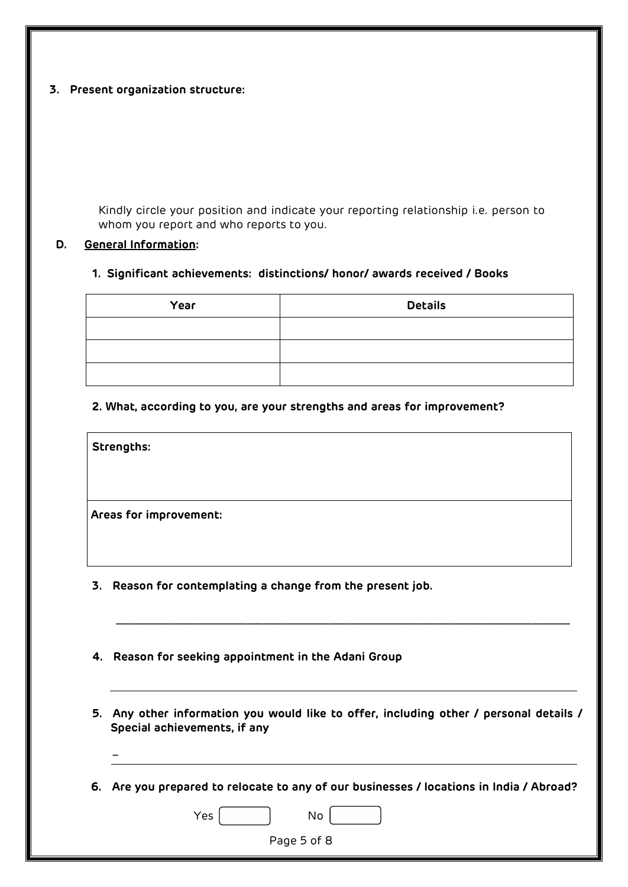#### **3. Present organization structure:**

Kindly circle your position and indicate your reporting relationship i.e. person to whom you report and who reports to you.

#### **D. General Information:**

#### **1. Significant achievements: distinctions/ honor/ awards received / Books**

| Year | <b>Details</b> |
|------|----------------|
|      |                |
|      |                |
|      |                |

#### **2. What, according to you, are your strengths and areas for improvement?**

**Strengths:**

 $\sim$   $\sim$   $\sim$ 

**Areas for improvement:**

- **3. Reason for contemplating a change from the present job.**
- **4. Reason for seeking appointment in the Adani Group**
- **5. Any other information you would like to offer, including other / personal details / Special achievements, if any**

\_\_\_\_\_\_\_\_\_\_\_\_\_\_\_\_\_\_\_\_\_\_\_\_\_\_\_\_\_\_\_\_\_\_\_\_\_\_\_\_\_\_\_\_\_\_\_\_\_\_\_\_\_\_\_\_\_\_\_\_\_\_\_\_\_\_\_\_\_\_\_\_\_\_\_\_\_\_\_\_\_\_\_

**6. Are you prepared to relocate to any of our businesses / locations in India / Abroad?**

Yes No Page 5 of 8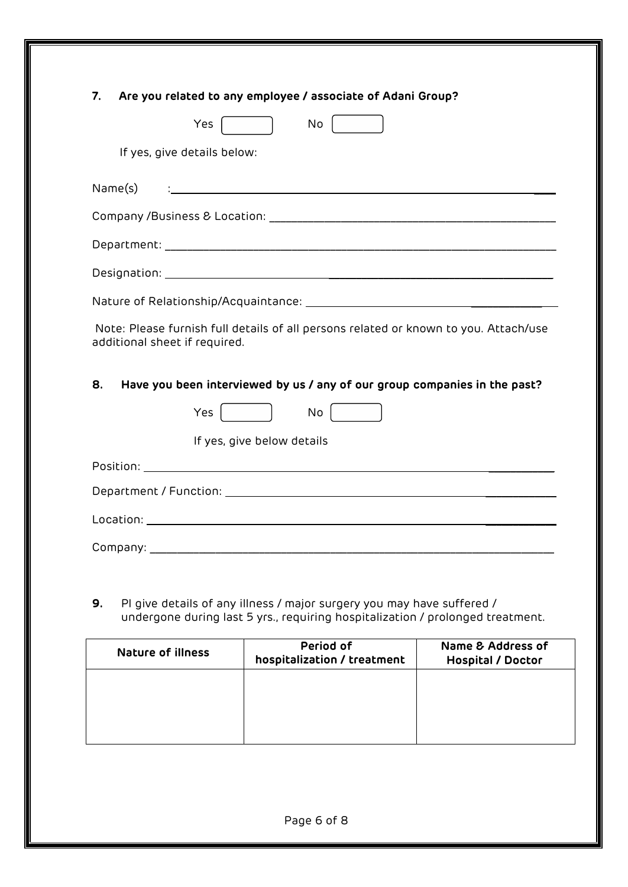|                                     | No<br>Yes                                                                                     |
|-------------------------------------|-----------------------------------------------------------------------------------------------|
|                                     | If yes, give details below:                                                                   |
| Name(s)                             | and the control of the control of the control of the control of the control of the control of |
|                                     |                                                                                               |
|                                     |                                                                                               |
|                                     |                                                                                               |
|                                     |                                                                                               |
|                                     | Note: Please furnish full details of all persons related or known to you. Attach/use          |
| additional sheet if required.<br>8. | Have you been interviewed by us / any of our group companies in the past?                     |
|                                     | Yes<br>$\mathsf{No}$                                                                          |
|                                     | If yes, give below details                                                                    |
|                                     |                                                                                               |
|                                     |                                                                                               |
|                                     |                                                                                               |
|                                     |                                                                                               |

| <b>Nature of illness</b> | Period of<br>hospitalization / treatment | Name & Address of<br><b>Hospital / Doctor</b> |
|--------------------------|------------------------------------------|-----------------------------------------------|
|                          |                                          |                                               |
|                          |                                          |                                               |
|                          |                                          |                                               |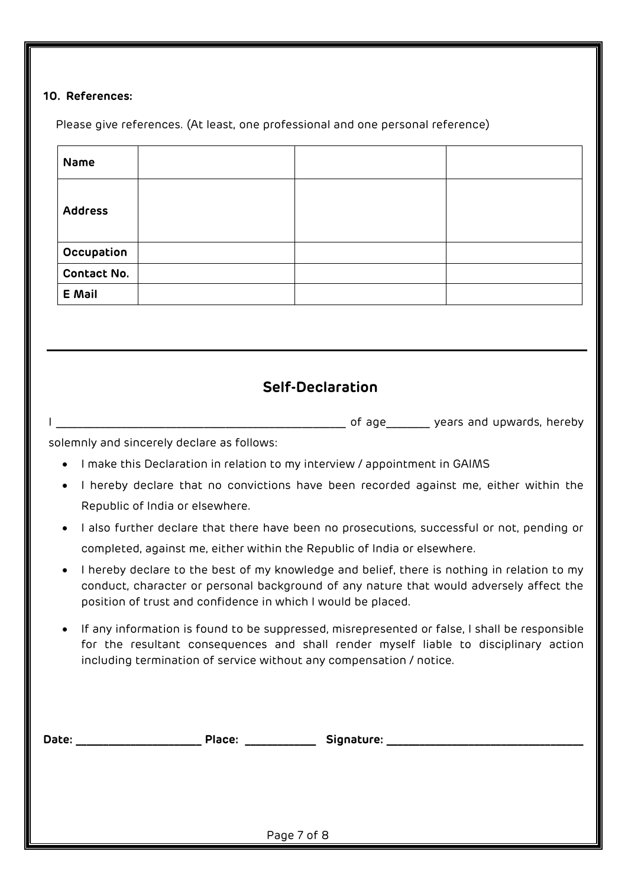#### **10. References:**

Please give references. (At least, one professional and one personal reference)

| <b>Name</b>        |  |  |
|--------------------|--|--|
| <b>Address</b>     |  |  |
| Occupation         |  |  |
| <b>Contact No.</b> |  |  |
| E Mail             |  |  |

## **Self-Declaration**

I \_\_\_\_\_\_\_\_\_\_\_\_\_\_\_\_\_\_\_\_\_\_\_\_\_\_\_\_\_\_\_\_\_\_\_\_\_\_\_\_\_\_\_\_\_\_\_\_\_\_\_\_\_ of age\_\_\_\_\_\_\_\_ years and upwards, hereby

solemnly and sincerely declare as follows:

- I make this Declaration in relation to my interview / appointment in GAIMS
- I hereby declare that no convictions have been recorded against me, either within the Republic of India or elsewhere.
- I also further declare that there have been no prosecutions, successful or not, pending or completed, against me, either within the Republic of India or elsewhere.
- I hereby declare to the best of my knowledge and belief, there is nothing in relation to my conduct, character or personal background of any nature that would adversely affect the position of trust and confidence in which I would be placed.
- If any information is found to be suppressed, misrepresented or false, I shall be responsible for the resultant consequences and shall render myself liable to disciplinary action including termination of service without any compensation / notice.

| Date: | Place: |             | Signature: |  |  |
|-------|--------|-------------|------------|--|--|
|       |        | Page 7 of 8 |            |  |  |